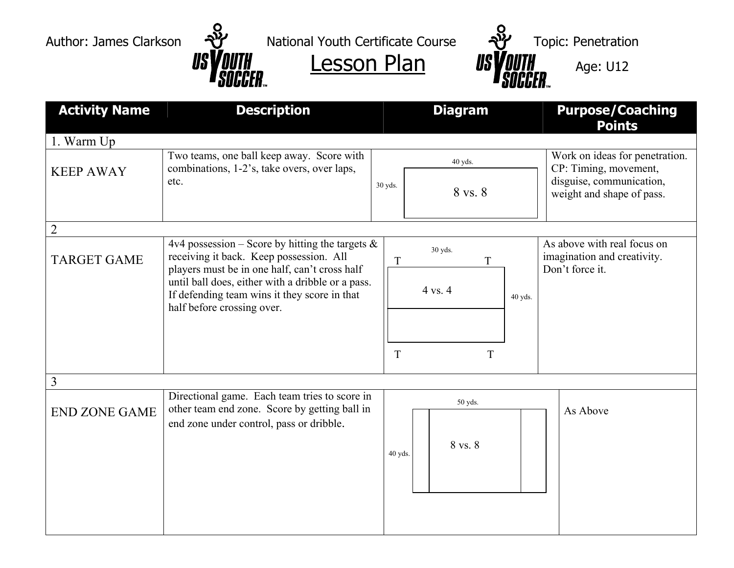Author: James Clarkson  $\frac{N}{2}$  National Youth Certificate Course  $\frac{N}{2}$  Topic: Penetration



| <b>Activity Name</b> | <b>Description</b>                                                                                                                                                                                                                                                                | <b>Diagram</b>                | <b>Purpose/Coaching</b><br><b>Points</b>                                                                         |  |
|----------------------|-----------------------------------------------------------------------------------------------------------------------------------------------------------------------------------------------------------------------------------------------------------------------------------|-------------------------------|------------------------------------------------------------------------------------------------------------------|--|
| 1. Warm Up           |                                                                                                                                                                                                                                                                                   |                               |                                                                                                                  |  |
| <b>KEEP AWAY</b>     | Two teams, one ball keep away. Score with<br>combinations, 1-2's, take overs, over laps,<br>etc.                                                                                                                                                                                  | 40 yds.<br>30 yds.<br>8 vs. 8 | Work on ideas for penetration.<br>CP: Timing, movement,<br>disguise, communication,<br>weight and shape of pass. |  |
| $\overline{2}$       |                                                                                                                                                                                                                                                                                   |                               |                                                                                                                  |  |
| <b>TARGET GAME</b>   | 4v4 possession – Score by hitting the targets $\&$<br>receiving it back. Keep possession. All<br>players must be in one half, can't cross half<br>until ball does, either with a dribble or a pass.<br>If defending team wins it they score in that<br>half before crossing over. | 30 yds.<br>T<br>T             | As above with real focus on<br>imagination and creativity.<br>Don't force it.                                    |  |
|                      |                                                                                                                                                                                                                                                                                   | 4 vs. 4<br>40 yds.<br>T<br>T  |                                                                                                                  |  |
|                      |                                                                                                                                                                                                                                                                                   |                               |                                                                                                                  |  |
| 3                    |                                                                                                                                                                                                                                                                                   |                               |                                                                                                                  |  |
| <b>END ZONE GAME</b> | Directional game. Each team tries to score in<br>other team end zone. Score by getting ball in<br>end zone under control, pass or dribble.                                                                                                                                        | 50 yds.<br>8 vs. 8<br>40 yds. | As Above                                                                                                         |  |